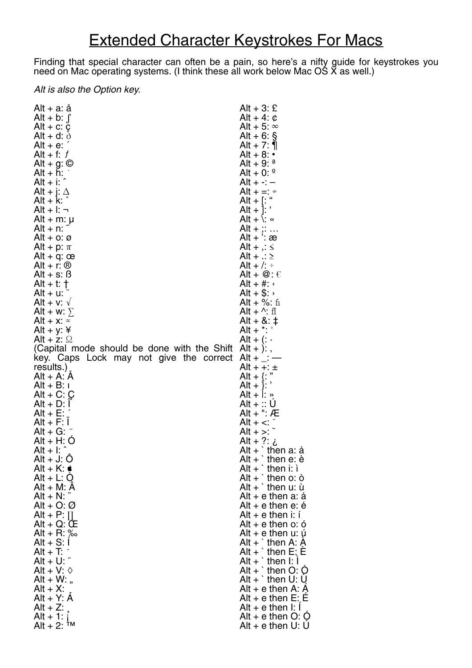## Extended Character Keystrokes For Macs

Finding that special character can often be a pain, so here's a nifty guide for keystrokes you need on Mac operating systems. (I think these all work below Mac OS X as well.)

## *Alt is also the Option key.*

| Alt + a: ă                                  | $Alt + 3: E$                   |
|---------------------------------------------|--------------------------------|
| Alt + b: $\int$                             | Alt + 4: $\phi$                |
| Alt + $c$ : $c$                             | Alt + 5: $\infty$              |
| Alt + d: $\delta$                           | Alt + 6: $\frac{6}{9}$         |
| $Alt + e$ :                                 | Alt + 7: $\P$                  |
| Alt + f: $f$                                | Alt + 8: $\cdot$               |
| Alt + $g:$ $\odot$                          | Alt + 9: $^{\circ}$            |
| $Alt + h$ :                                 | Alt + 0: $9$                   |
| $Alt + i$ :                                 | Alt + -: -                     |
| Alt + j: $\Delta$                           | Alt + =: $\neq$                |
| Ľ<br>$Alt + k$ :                            | Alt + $[$ : "                  |
| $Alt + I: \neg$                             | Alt + $\vert$ :                |
| Alt + m: $\mu$                              | $Alt + \leq \leq$              |
| $Alt + n$ :                                 | Alt + $\ldots$                 |
| Alt + $\circ$ : $\circ$                     | Alt $+$ : æ                    |
| Alt + p: $\pi$                              | Alt + $\frac{1}{2}$ : $\leq$   |
| Alt + $q$ : œ                               | Alt + $\therefore$ $\ge$       |
| Alt + r: $\circledR$                        | Alt + /: $\div$                |
| $Alt + s: B$                                | Alt + $@: \mathcal{C}$         |
| Alt + t: $\dagger$                          | $Alt + #:$                     |
| $Alt + u$ :                                 | Alt $+$ \$: $\rightarrow$      |
| Alt + $v: \sqrt{ }$                         | Alt + %: $\text{fi}$           |
| Alt + w: $\Sigma$                           | Alt + $\wedge$ : fl            |
| Alt + x: $\approx$                          | $Alt + 8: 1$                   |
|                                             | Alt + $\cdot$ : $\cdot$        |
| Alt + y: $\angle$<br>Alt + z: $\Omega$      |                                |
|                                             | Alt + $(:$                     |
| (Capital mode should be done with the Shift | $Alt + )$ :,                   |
| key. Caps Lock may not give the correct     | Alt + _: $-$                   |
| results. $)$                                | Alt + +: $\pm$                 |
| $Alt + A: A$                                | Alt + $\{ : "$                 |
| $Alt + B$ : I                               | Alt + }: '                     |
| Alt + C: $\mathcal{Q}$                      | Alt + $\vdots$ $\phi$          |
| $Alt + D: I$                                | Alt + :: U                     |
| Alt + $E:$                                  | Alt + ": Æ                     |
| $Alt + F$ : I                               | $Alt + <:$                     |
| Alt + G: $\tilde{a}$                        | $Alt + >:$                     |
| $Alt + H: O$                                | ن :? + Alt                     |
| $Alt + I:$                                  | Alt $+$ then a: $\dot{a}$      |
| $Alt + J: O$                                | $Alt +$<br>then e: è           |
| Alt + K: $\bullet$                          | Alt $+$ ` then i: $i$          |
| $Alt + L: Q$                                | Alt $+$ ` then o: $\dot{o}$    |
| $Alt + M: A$                                | Alt $+$ ` then u: ù            |
| Alt + N: $\tilde{ }$                        | Alt + e then $a: a$            |
| Alt + O: $\varnothing$                      | Alt $+$ e then e: é            |
| Alt + P: $\prod$                            | Alt $+$ e then i: i            |
| $Alt + Q: CE$                               | Alt $+$ e then o: ó            |
| Alt + R: $\%$                               | Alt + e then u: ú              |
| $Alt + S: I$                                | Alt $+$ ` then A: A            |
| Alt + T: $\gamma$                           | Alt + ` then $E$ ; E           |
| $Alt + U$ :                                 | Alt + $\dot{ }$ then I: I      |
| Alt + V: $\diamond$                         | $\overline{Alt}$ + ` then O: Q |
| Alt + W: $,$                                | Alt + ` then U: $\dot{U}$      |
| $Alt + X$ :                                 | Alt + e then A: $\ddot{A}$     |
| $Alt + Y: A$                                | Alt + e then $E$ : E           |
| $Alt + Z$ :                                 | Alt $+$ e then I: I            |
| $Alt + 1$ :                                 | Alt $+$ e then O: Q            |
| Alt + 2: $†M$                               | Alt $+$ e then U: U            |
|                                             |                                |